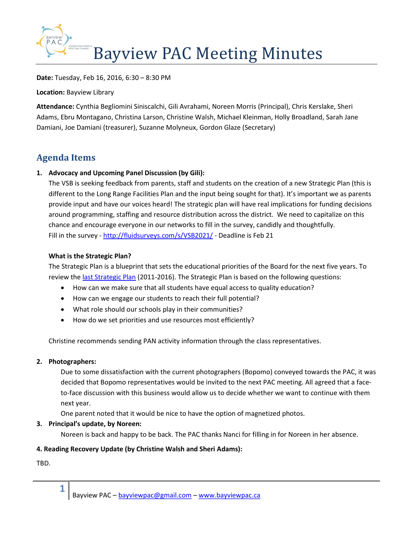

Date: Tuesday, Feb 16, 2016, 6:30 – 8:30 PM

Location: Bayview Library

Attendance: Cynthia Begliomini Siniscalchi, Gili Avrahami, Noreen Morris (Principal), Chris Kerslake, Sheri Adams, Ebru Montagano, Christina Larson, Christine Walsh, Michael Kleinman, Holly Broadland, Sarah Jane Damiani, Joe Damiani (treasurer), Suzanne Molyneux, Gordon Glaze (Secretary)

# Agenda Items

## 1. Advocacy and Upcoming Panel Discussion (by Gili):

The VSB is seeking feedback from parents, staff and students on the creation of a new Strategic Plan (this is different to the Long Range Facilities Plan and the input being sought for that). It's important we as parents provide input and have our voices heard! The strategic plan will have real implications for funding decisions around programming, staffing and resource distribution across the district. We need to capitalize on this chance and encourage everyone in our networks to fill in the survey, candidly and thoughtfully. Fill in the survey - http://fluidsurveys.com/s/VSB2021/ - Deadline is Feb 21

#### What is the Strategic Plan?

The Strategic Plan is a blueprint that sets the educational priorities of the Board for the next five years. To review the last Strategic Plan (2011-2016). The Strategic Plan is based on the following questions:

- How can we make sure that all students have equal access to quality education?
- How can we engage our students to reach their full potential?
- What role should our schools play in their communities?
- How do we set priorities and use resources most efficiently?

Christine recommends sending PAN activity information through the class representatives.

#### 2. Photographers:

Due to some dissatisfaction with the current photographers (Bopomo) conveyed towards the PAC, it was decided that Bopomo representatives would be invited to the next PAC meeting. All agreed that a faceto-face discussion with this business would allow us to decide whether we want to continue with them next year.

One parent noted that it would be nice to have the option of magnetized photos.

#### 3. Principal's update, by Noreen:

Noreen is back and happy to be back. The PAC thanks Nanci for filling in for Noreen in her absence.

#### 4. Reading Recovery Update (by Christine Walsh and Sheri Adams):

TBD.

1